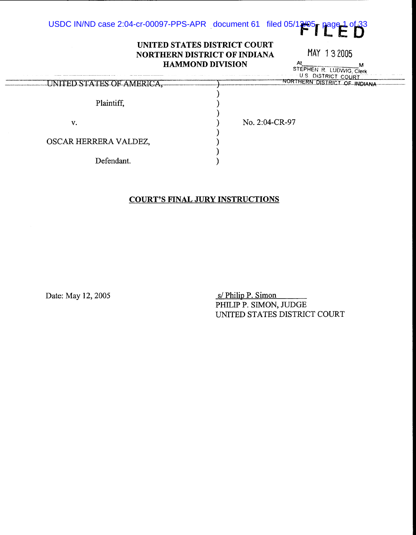

### **UNITED STATES DISTRICT COURT NORTHERN DISTRICT OF INDIANA HAMMOND DIVISION**

an all

MAY 1 3 2005

 $At$  M STEPHEN R. LUDWIG Clerk U.S. DISTRICT COURT

| UNITED STATES OF AMERICA, | NURTHERN DISTRICT OF INDIANA |
|---------------------------|------------------------------|
| Plaintiff,                |                              |
| v.                        | No. 2:04-CR-97               |
| OSCAR HERRERA VALDEZ,     |                              |
| Defendant.                |                              |

## **COURT'S FINAL JURY INSTRUCTIONS**

Date: May 12, 2005 S/ Philip P. Simon

PHILIP P. SIMON, JUDGE UNITED STATES DISTRICT COURT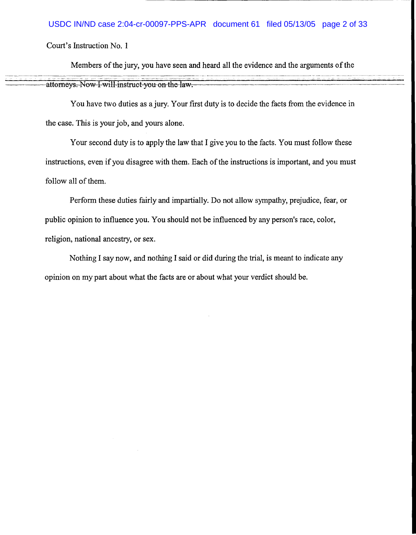#### USDC IN/ND case 2:04-cr-00097-PPS-APR document 61 filed 05/13/05 page 2 of 33

Court's Instruction No. 1

--~ -------------·- ----~-------

Members of the jury, you have seen and heard all the evidence and the arguments of the

attorneys. Now I will instruct you on the law.

You have two duties as a jury. Your first duty is to decide the facts from the evidence in the case. This is your job, and yours alone.

Your second duty is to apply the law that I give you to the facts. You must follow these instructions, even if you disagree with them. Each of the instructions is important, and you must follow all of them.

Perform these duties fairly and impartially. Do not allow sympathy, prejudice, fear, or public opinion to influence you. You should not be influenced by any person's race, color, religion, national ancestry, or sex.

Nothing I say now, and nothing I said or did during the trial, is meant to indicate any opinion on my part about what the facts are or about what your verdict should be.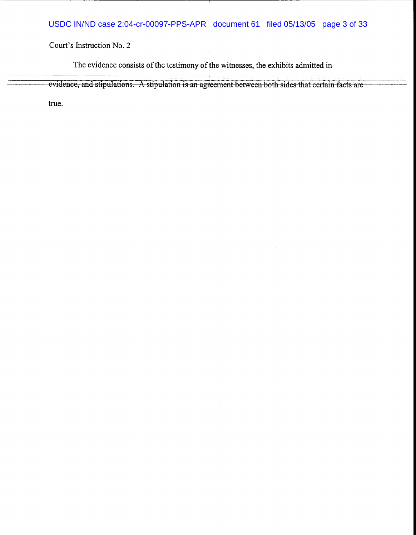The evidence consists of the testimony of the witnesses, the exhibits admitted in

evidence, and stipulations. A stipulation is an agreement between both sides that certain facts are

true.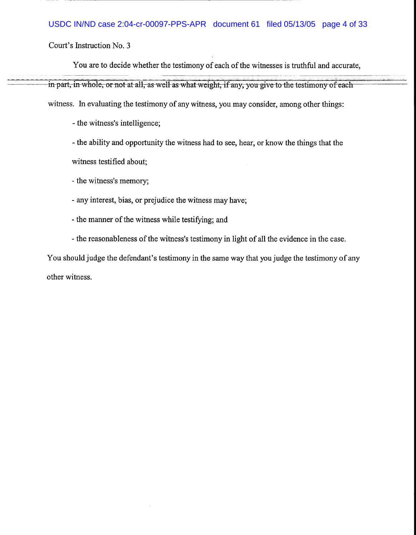### USDC IN/ND case 2:04-cr-00097-PPS-APR document 61 filed 05/13/05 page 4 of 33

Court's Instruction No. 3

You are to decide whether the testimony of each of the witnesses is truthful and accurate,

in part, in whole, or not at all, as well as what weight, if any, you give to the testimony of each

witness. In evaluating the testimony of any witness, you may consider, among other things:

- the witness's intelligence;

- the ability and opportunity the witness had to see, hear, or know the things that the

witness testified about;

- the witness's memory;
- any interest, bias, or prejudice the witness may have;
- the manner of the witness while testifying; and
- the reasonableness of the witness's testimony in light of all the evidence in the case.

You should judge the defendant's testimony in the same way that you judge the testimony of any other witness.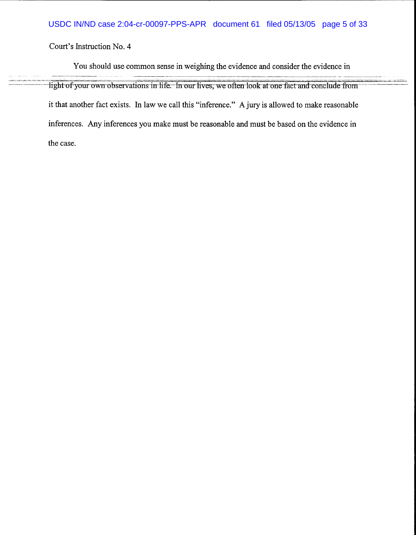You should use common sense in weighing the evidence and consider the evidence in light of your own observations in life. In our lives, we often look at one fact and conclude from it that another fact exists. In law we call this "inference." A jury is allowed to make reasonable inferences. Any inferences you make must be reasonable and must be based on the evidence in the case.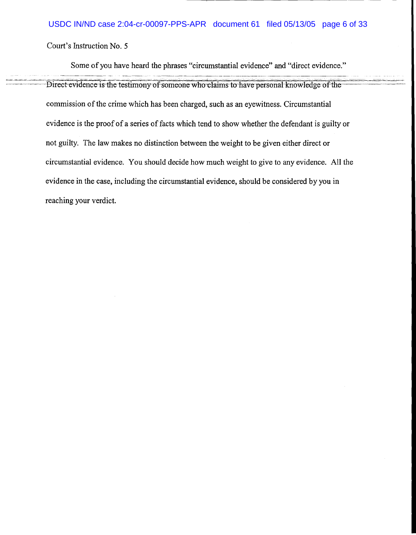Some of you have heard the phrases "circumstantial evidence" and "direct evidence."

Direct evidence is the testimony of someone who claims to have personal knowledge of the commission of the crime which has been charged, such as an eyewitness. Circumstantial evidence is the proof of a series of facts which tend to show whether the defendant is guilty or not guilty. The law makes no distinction between the weight to be given either direct or circumstantial evidence. You should decide how much weight to give to any evidence. All the evidence in the case, including the circumstantial evidence, should be considered by you in reaching your verdict.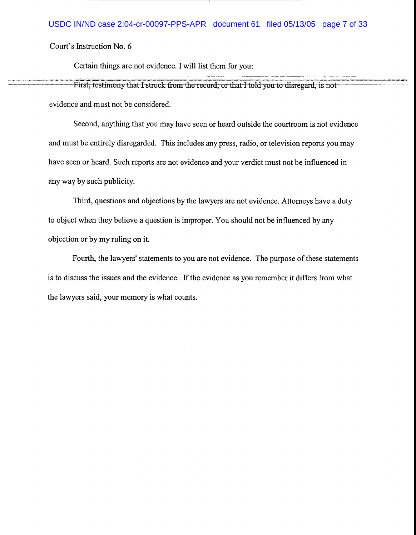Certain things are not evidence. I will list them for you:

First, testimony that I struck-from the record, or that I told you to disregard, is not evidence and must not be considered.

Second, anything that you may have seen or heard outside the courtroom is not evidence and must be entirely disregarded. This includes any press, radio, or television reports you may have seen or heard. Such reports are not evidence and your verdict must not be influenced in any way by such publicity.

Third, questions and objections by the lawyers are not evidence. Attorneys have a duty to object when they believe a question is improper. You should not be influenced by any objection or by my ruling on it.

Fourth, the lawyers' statements to you are not evidence. The purpose of these statements is to discuss the issues and the evidence. If the evidence as you remember it differs from what the lawyers said, your memory is what counts.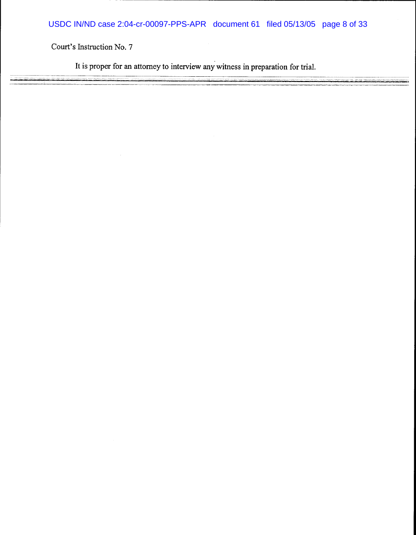It is proper for an attorney to interview any witness in preparation for trial.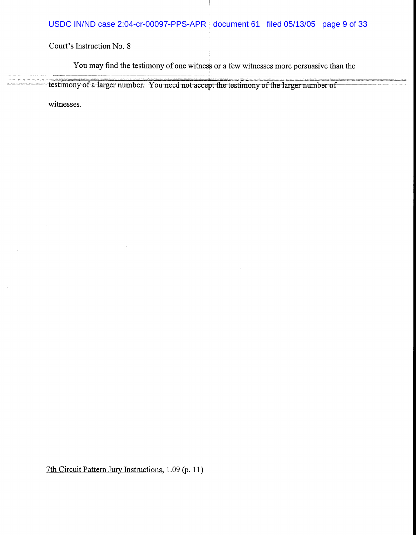You may find the testimony of one witness or a few witnesses more persuasive than the

testimony of a larger number. You need not accept the testimony of the larger number of

witnesses.

7th Circuit Pattern Jury Instructions, 1.09 (p. 11)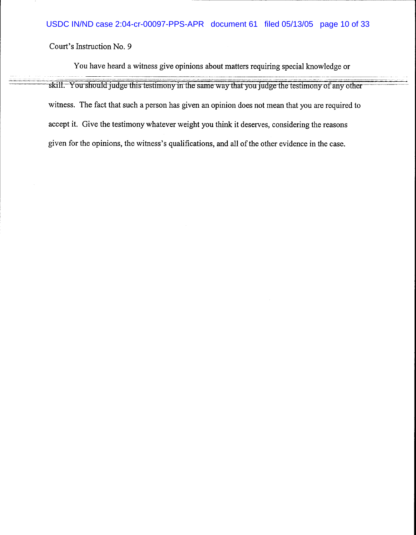You have heard a witness give opinions about matters requiring special knowledge or

skill. You should judge this testimony in the same way that you judge the testimony of any other witness. The fact that such a person has given an opinion does not mean that you are required to accept it. Give the testimony whatever weight you think it deserves, considering the reasons given for the opinions, the witness's qualifications, and all of the other evidence in the case.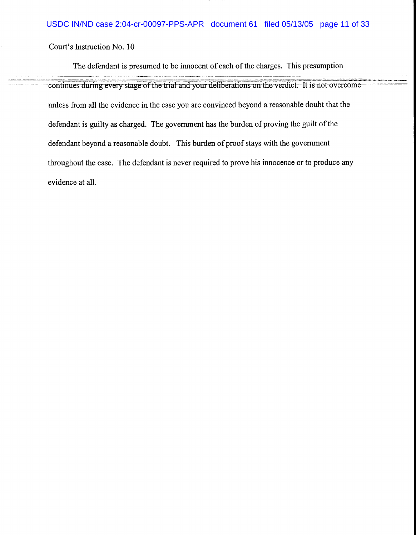The defendant is presumed to be innocent of each of the charges. This presumption

continues during every stage of the trial and your deliberations on the verdict. It is not overcome unless from all the evidence in the case you are convinced beyond a reasonable doubt that the defendant is guilty as charged. The government has the burden of proving the guilt of the defendant beyond a reasonable doubt. This burden of proof stays with the government throughout the case. The defendant is never required to prove his innocence or to produce any evidence at all.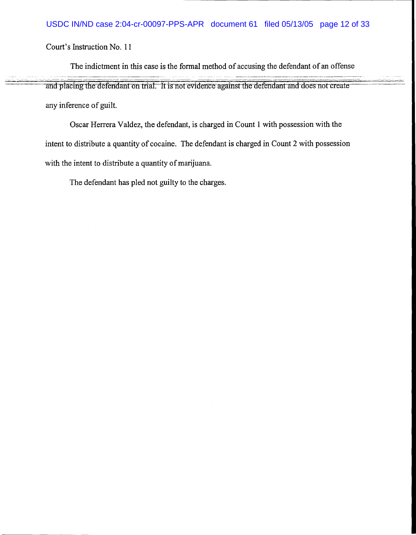The indictment in this case is the formal method of accusing the defendant of an offense

and placing the defendant on trial. It is not evidence against the defendant and does not create any inference of guilt.

Oscar Herrera Valdez, the defendant, is charged in Count 1 with possession with the intent to distribute a quantity of cocaine. The defendant is charged in Count 2 with possession with the intent to distribute a quantity of marijuana.

The defendant has pled not guilty to the charges.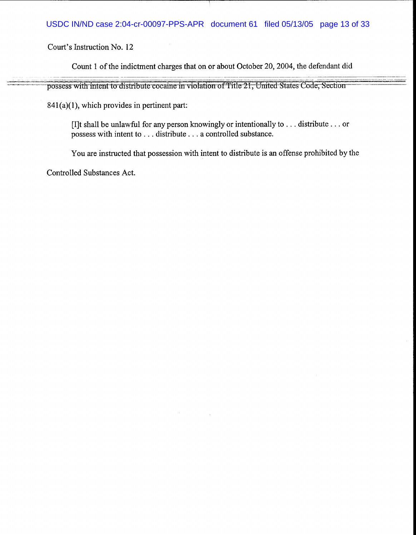### USDC IN/ND case 2:04-cr-00097-PPS-APR document 61 filed 05/13/05 page 13 of 33

Court's Instruction No. 12

Count 1 of the indictment charges that on or about October 20, 2004, the defendant did

possess with intent to distribute cocaine in violation of Title 21, United States Code, Section

84l(a)(l), which provides in pertinent part:

[I]t shall be unlawful for any person knowingly or intentionally to ... distribute ... or possess with intent to ... distribute ... a controlled substance.

You are instructed that possession with intent to distribute is an offense prohibited by the

Controlled Substances Act.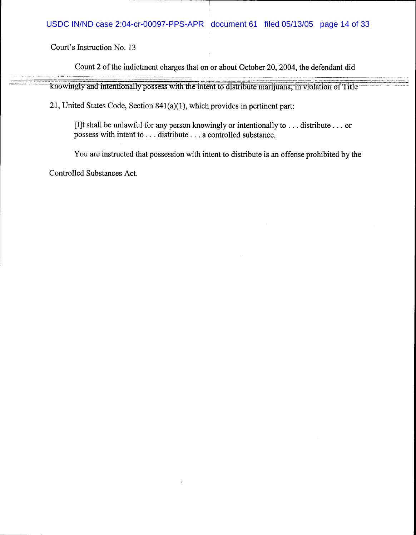Count 2 of the indictment charges that on or about October 20, 2004, the defendant did

knowingly and intentionally possess with the intent to distribute marijuana, in violation of Title

21, United States Code, Section 841(a)(l), which provides in pertinent part:

[I]t shall be unlawful for any person knowingly or intentionally to ... distribute ... or possess with intent to ... distribute ... a controlled substance.

You are instructed that possession with intent to distribute is an offense prohibited by the

Controlled Substances Act.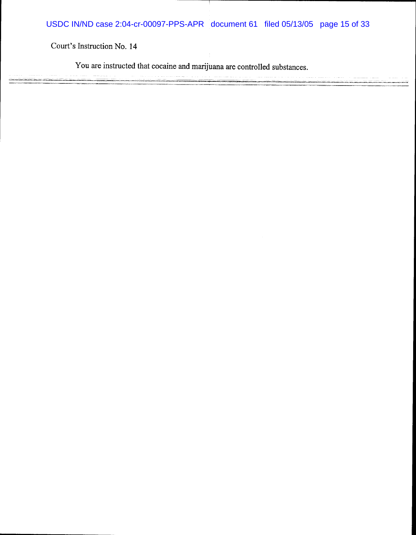USDC IN/ND case 2:04-cr-00097-PPS-APR document 61 filed 05/13/05 page 15 of 33

Court's Instruction No. 14

You are instructed that cocaine and marijuana are controlled substances.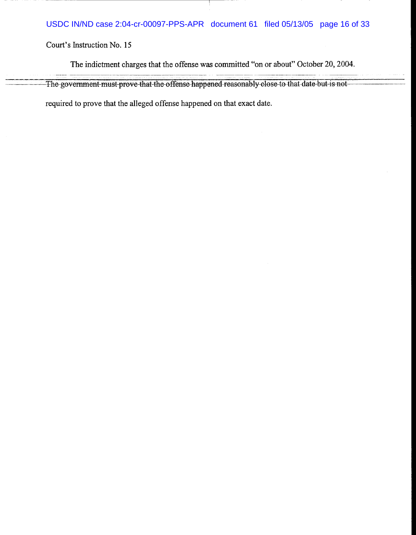# USDC IN/ND case 2:04-cr-00097-PPS-APR document 61 filed 05/13/05 page 16 of 33

Court's Instruction No. 15

The indictment charges that the offense was committed "on or about" October 20, 2004.

The government must prove that the offense happened reasonably close to that date but is not

required to prove that the alleged offense happened on that exact date.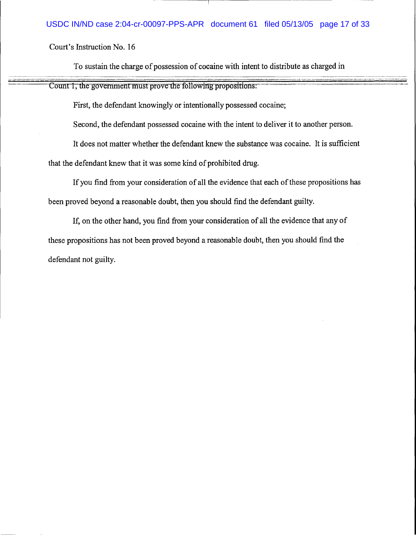---··--·-------------·--·----

To sustain the charge of possession of cocaine with intent to distribute as charged in

Count 1, the government must prove the following propositions:

First, the defendant knowingly or intentionally possessed cocaine;

Second, the defendant possessed cocaine with the intent to deliver it to another person.

It does not matter whether the defendant knew the substance was cocaine. It is sufficient

that the defendant knew that it was some kind of prohibited drug.

If you find from your consideration of all the evidence that each of these propositions has been proved beyond a reasonable doubt, then you should find the defendant guilty.

If, on the other hand, you find from your consideration of all the evidence that any of these propositions has not been proved beyond a reasonable doubt, then you should find the defendant not guilty.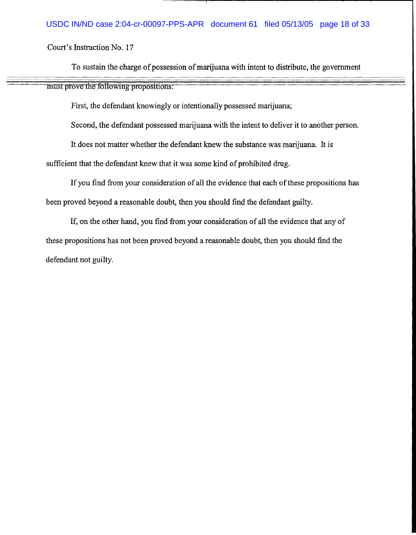#### USDC IN/ND case 2:04-cr-00097-PPS-APR document 61 filed 05/13/05 page 18 of 33

Court's Instruction No. 17

To sustain the charge of possession of marijuana with intent to distribute, the government

must prove the following propositions:

First, the defendant knowingly or intentionally possessed marijuana;

Second, the defendant possessed marijuana with the intent to deliver it to another person.

It does not matter whether the defendant knew the substance was marijuana. It is

sufficient that the defendant knew that it was some kind of prohibited drug.

If you find from your consideration of all the evidence that each of these propositions has been proved beyond a reasonable doubt, then you should find the defendant guilty.

If, on the other hand, you find from your consideration of all the evidence that any of these propositions has not been proved beyond a reasonable doubt, then you should find the defendant not guilty.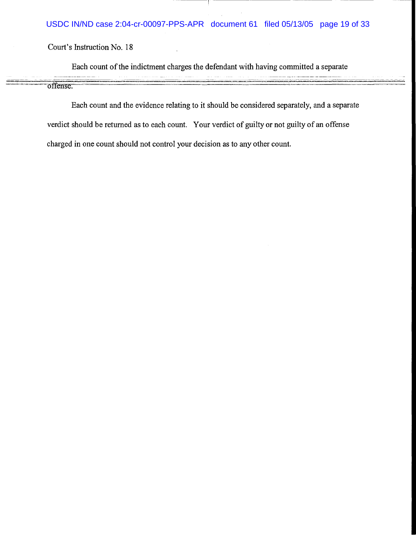## USDC IN/ND case 2:04-cr-00097-PPS-APR document 61 filed 05/13/05 page 19 of 33

Court's Instruction No. 18

Each count of the indictment charges the defendant with having committed a separate

offense~•

Each count and the evidence relating to it should be considered separately, and a separate verdict should be returned as to each count. Your verdict of guilty or not guilty of an offense charged in one count should not control your decision as to any other count.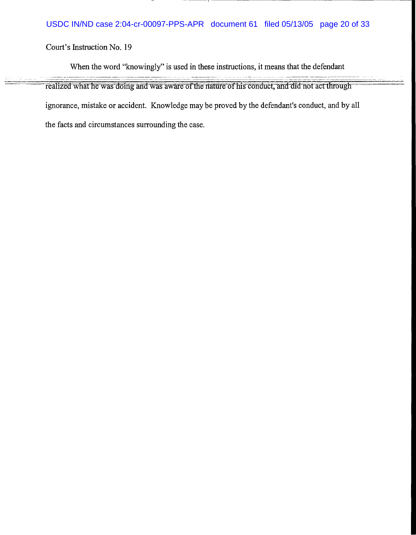When the word "knowingly" is used in these instructions, it means that the defendant

realized what he was doing and was aware of the nature of his conduct, and did not act through ignorance, mistake or accident. Knowledge may be proved by the defendant's conduct, and by all the facts and circumstances surrounding the case.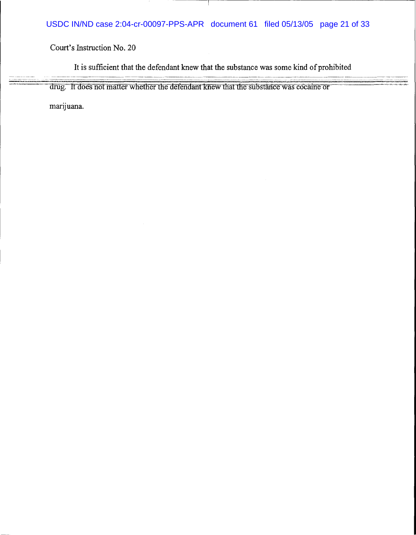# USDC IN/ND case 2:04-cr-00097-PPS-APR document 61 filed 05/13/05 page 21 of 33

Court's Instruction No. 20

It is sufficient that the defendant knew that the substance was some kind of prohibited

drug. It does not matter whether the defendant knew that the substance was cocaine or

marijuana.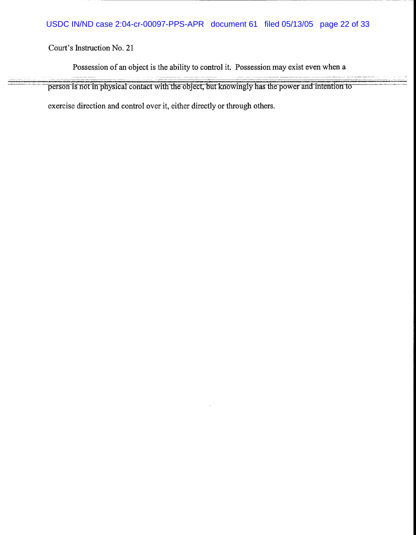Possession of an object is the ability to control it. Possession may exist even when a

person is not in physical contact with the object, but knowingly has the power and intention to

exercise direction and control over it, either directly or through others.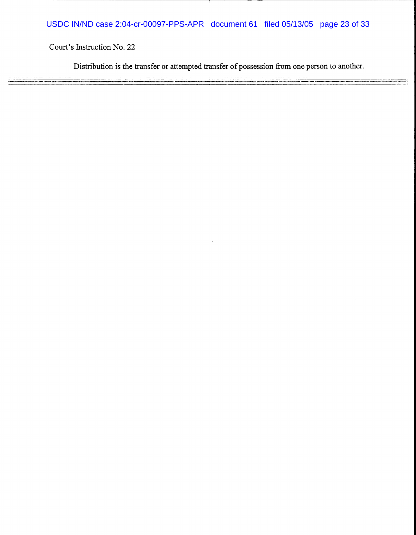Distribution is the transfer or attempted transfer of possession from one person to another.

÷.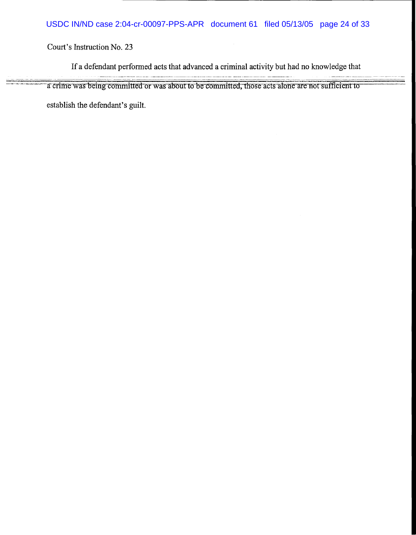If a defendant performed acts that advanced a criminal activity but had no knowledge that

a crime was being committed or was about to be committed, those acts alone are not sufficient to

establish the defendant's guilt.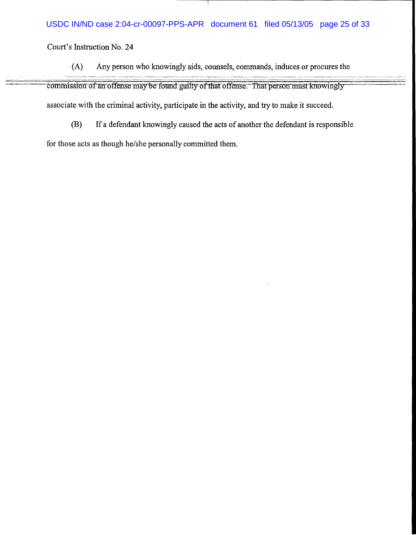- (A) Any person who knowingly aids, counsels, commands, induces or procures the commission of an offense may be found guilty of that offense. That person must knowingly associate with the criminal activity, participate in the activity, and try to make it succeed.
	- (B) If a defendant knowingly caused the acts of another the defendant is responsible

for those acts as though he/she personally committed them.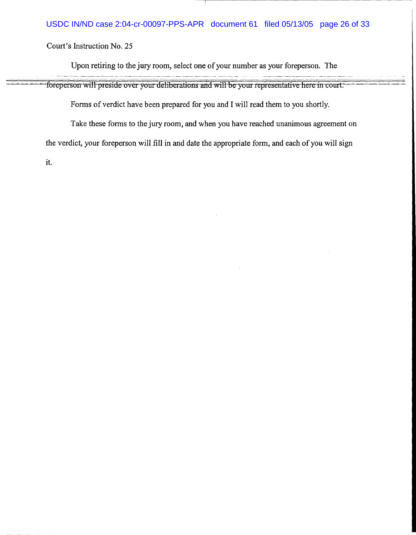Upon retiring to the jury room, select one of your number as your foreperson. The

foreperson will preside over your deliberations and will be your representative here in court.

Forms of verdict have been prepared for you and I will read them to you shortly.

Take these forms to the jury room, and when you have reached unanimous agreement on

the verdict, your foreperson will fill in and date the appropriate form, and each of you will sign

it.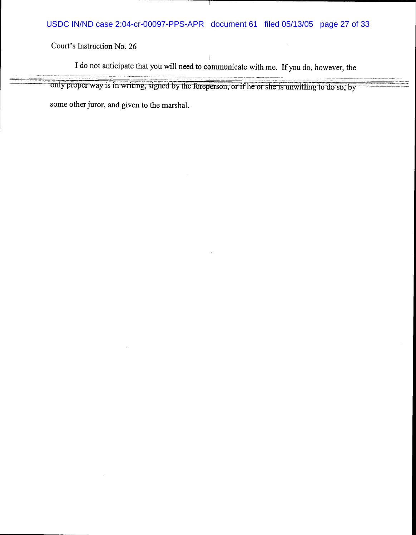I do not anticipate that you will need to communicate with me. If you do, however, the

---------- ---·-·--------------------------~--------- ----------·--------------~·----------- ------·-· .. ·----- --- - ·'- -----' ---· \_ .. ---·------- ---- ----------'----- ---·. --' -'-- ·---~----· -- only proper way is in writing, signed by the foreperson, or if he or she is unwilling to do so, by some other juror, and given to the marshal.